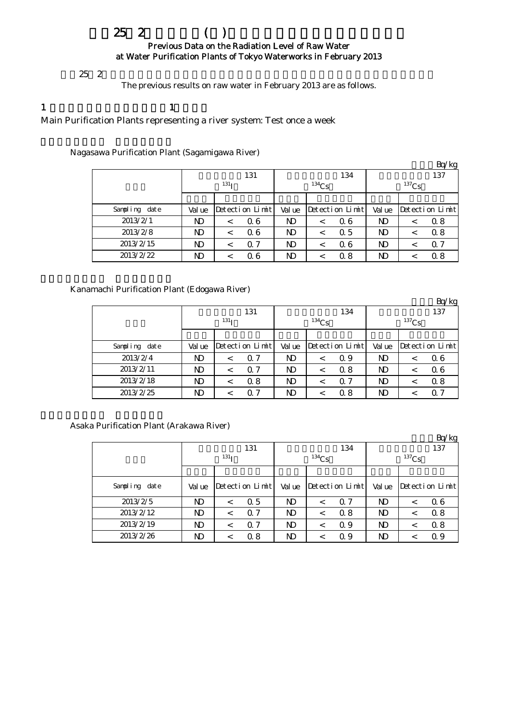# $252$  ( ) Previous Data on the Radiation Level of Raw Water at Water Purification Plants of Tokyo Waterworks in February 2013

 $252$ 

The previous results on raw water in February 2013 are as follows.

## 1 各水系を代表する浄水場:週1回の測定

Main Purification Plants representing a river system: Test once a week

Nagasawa Purification Plant (Sagamigawa River)

|               |        |                  |                 |          |         |                 |          |         | Bq/kg           |  |
|---------------|--------|------------------|-----------------|----------|---------|-----------------|----------|---------|-----------------|--|
|               |        |                  | 131             |          |         | 134             | 137      |         |                 |  |
|               |        | 131 <sub>T</sub> |                 | $134$ Cs |         |                 | $137$ Cs |         |                 |  |
|               |        |                  |                 |          |         |                 |          |         |                 |  |
| Sampling date | Val ue |                  | Detection Limit | Val ue   |         | Detection Limit | Val ue   |         | Detection Limit |  |
| 2013/2/1      | ND     |                  | 06              | ND       | $\,<\,$ | 06              | ND       | <       | 0.8             |  |
| 2013/2/8      | ND     |                  | 06              | ND       | $\,<\,$ | $\alpha$ 5      | ND       | $\,<\,$ | 0.8             |  |
| 2013/2/15     | ND     |                  | 0.7             | ND       | <       | Q 6             | ND       | $\,<\,$ | 0.7             |  |
| 2013/2/22     | ND     |                  | Q 6             | ND       |         | 0.8             | ND       |         | 0.8             |  |

## Kanamachi Purification Plant (Edogawa River)

|               |              |                  |                 |            |         |                 |                |   | Bq/kg           |  |
|---------------|--------------|------------------|-----------------|------------|---------|-----------------|----------------|---|-----------------|--|
|               |              |                  | 131             |            |         | 134             | 137            |   |                 |  |
|               |              | 131 <sub>T</sub> |                 | $^{134}Cs$ |         |                 | $137$ Cs       |   |                 |  |
|               |              |                  |                 |            |         |                 |                |   |                 |  |
| Sampling date | Val ue       |                  | Detection Limit | Val ue     |         | Detection Limit | Val ue         |   | Detection Limit |  |
| 2013/2/4      | ND           | $\,<\,$          | Q 7             | ND         | $\,<\,$ | 0.9             | ND             | < | 06              |  |
| 2013/2/11     | $\mathbf{D}$ |                  | Q 7             | ND         | $\,<\,$ | 0.8             | $\mathbf{N}$   |   | 06              |  |
| 2013/2/18     | ND           | $\,<\,$          | 0.8             | ND         | $\,<\,$ | $\Omega$ 7      | N <sub>D</sub> | < | 0.8             |  |
| 2013/2/25     | ND           |                  | 0.7             | ND         |         | 0.8             | ND             |   | 0.7             |  |

Asaka Purification Plant (Arakawa River)

|               |                  |         |                 |                |            |                 |                |         | Bq/kg           |  |
|---------------|------------------|---------|-----------------|----------------|------------|-----------------|----------------|---------|-----------------|--|
|               |                  |         | 131             |                |            | 134             | 137            |         |                 |  |
|               | 131 <sub>T</sub> |         |                 |                | $^{134}Cs$ |                 | $137$ Cs       |         |                 |  |
|               |                  |         |                 |                |            |                 |                |         |                 |  |
| Sampling date | Val ue           |         | Detection Limit | Val ue         |            | Detection Limit | Val ue         |         | Detection Limit |  |
| 2013/2/5      | N <sub>D</sub>   | $\,<\,$ | 0.5             | N <sub>D</sub> | $\,<\,$    | $\Omega$ 7      | N <sub>D</sub> | $\,<\,$ | 06              |  |
| 2013/2/12     | ND               | $\,<\,$ | Q 7             | ND             | $\,<\,$    | 0.8             | N <sub>D</sub> | <       | 0.8             |  |
| 2013/2/19     | $\mathbf{D}$     | $\,<\,$ | Q 7             | ND             | $\,<\,$    | 0.9             | ND.            | $\,<\,$ | 0.8             |  |
| 2013/2/26     | ND               | <       | 0.8             | ND             | $\,<\,$    | 0.9             | ND.            |         | 0.9             |  |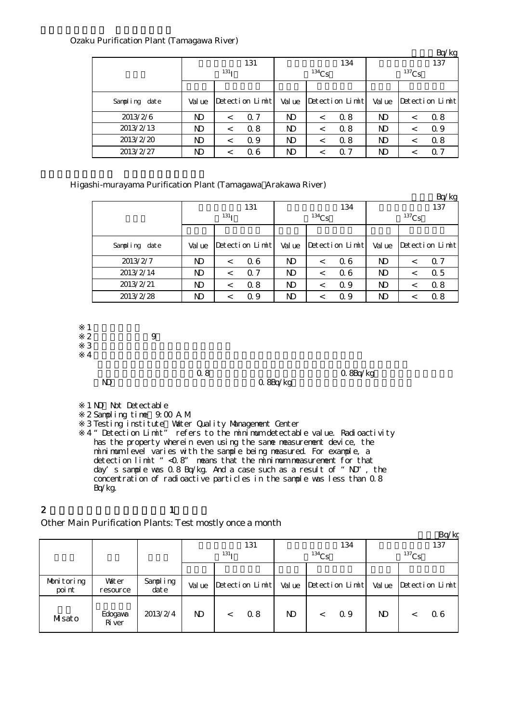|               |        |                  |                               |              |          |                               |        |          | Bq/kg                         |  |  |
|---------------|--------|------------------|-------------------------------|--------------|----------|-------------------------------|--------|----------|-------------------------------|--|--|
|               |        |                  | 131                           |              |          | 134                           | 137    |          |                               |  |  |
|               |        | 131 <sub>T</sub> |                               |              | $134$ Cs |                               |        | $137$ Cs |                               |  |  |
|               |        |                  |                               |              |          |                               |        |          |                               |  |  |
| Sampling date | Val ue |                  | $Detecti$ on $Lin\rightarrow$ | Val ue       |          | $Detecti$ on $Lin\rightarrow$ | Val ue |          | $Detecti$ on $Lin\rightarrow$ |  |  |
| 2013/2/6      | ND.    | $\,<\,$          | $\Omega$ 7                    | <b>ND</b>    | $\,<\,$  | 0.8                           | ND     | $\,<\,$  | 0.8                           |  |  |
| 2013/2/13     | ND     | $\,<\,$          | 0.8                           | $\mathbf{D}$ | $\,<\,$  | 0.8                           | ND.    | $\,<\,$  | 0.9                           |  |  |
| 2013/2/20     | ND.    | $\,<\,$          | Q 9                           | $\mathbf{D}$ | $\,<\,$  | 0.8                           | ND.    | $\,<\,$  | 0.8                           |  |  |
| 2013/2/27     | ND.    | $\,<\,$          | 06                            | $\mathbf{D}$ | $\,<\,$  | Q <sub>7</sub>                | ND     | $\,<\,$  | Q 7                           |  |  |

Higashi-murayama Purification Plant (Tamagawa Arakawa River)

|               |                  |         |                 |              |            |                 |                |         | Bq/kg           |  |
|---------------|------------------|---------|-----------------|--------------|------------|-----------------|----------------|---------|-----------------|--|
|               |                  |         | 131             |              |            | 134             | 137            |         |                 |  |
|               | 131 <sub>T</sub> |         |                 |              | $^{134}Cs$ |                 | $137$ Cs       |         |                 |  |
|               |                  |         |                 |              |            |                 |                |         |                 |  |
| Sampling date | Val ue           |         | Detection Limit | Val ue       |            | Detection Limit | Val ue         |         | Detection Limit |  |
| 2013/2/7      | N)               | $\,<\,$ | 06              | ND           | $\,<\,$    | 06              | ND             | $\,<\,$ | Q 7             |  |
| 2013/2/14     | ND               | $\,<\,$ | 0.7             | $\mathbf{D}$ | $\,<\,$    | 06              | $\mathbf{D}$   | $\,<\,$ | 0.5             |  |
| 2013/2/21     | N <sub>D</sub>   | $\,<\,$ | 0.8             | <b>ND</b>    | $\,<\,$    | 0.9             | N <sub>D</sub> | $\,<\,$ | 0.8             |  |
| 2013/2/28     | ND               |         | Q 9             | ND           | <          | 0.9             | ND             | <       | 0.8             |  |

 $1 - \frac{1}{2}$ 

※2 採水時間:午前9時  $3 \thinspace$ 

※4

ND 0.8Bq/kg

 $\alpha$  8 and  $\alpha$  8Bq/kg

1 ND Not Detectable ※2 Sampling time:9:00 A.M.  $\mathcal{S}$ ※4 Testing institute:Water Quality Management Center "Detection Limit" refers to the minimum detectable value. Radioactivity has the property wherein even using the same measurement device, the minimum level varies with the sample being measured. For example, a detection limit "< 0.8" means that the minimum measurement for that day's sample was  $0.8$  Bq/kg. And a case such as a result of "ND", the concentration of radioactive particles in the sample was less than 0.8 Bq/kg.

2 and  $\lambda$  1

Other Main Purification Plants: Test mostly once a month

|                      |                          |                  |                  |         |                 |              |  |                 |          |     | Bq/kg           |
|----------------------|--------------------------|------------------|------------------|---------|-----------------|--------------|--|-----------------|----------|-----|-----------------|
|                      |                          |                  |                  |         | 131             | 134          |  |                 |          | 137 |                 |
|                      |                          |                  | 131 <sub>T</sub> |         |                 | $134$ Cs     |  |                 | $137$ Cs |     |                 |
|                      |                          |                  |                  |         |                 |              |  |                 |          |     |                 |
| Monitoring<br>poi nt | <b>Vater</b><br>resource | Sampling<br>date | Val ue           |         | Detection Limit | Val ue       |  | Detection Limit | Val ue   |     | Detection Limit |
| Misato               | Edogava<br><b>R</b> iver | 2013/2/4         | $\mathbf{N}$     | $\,<\,$ | 0.8             | $\mathbf{D}$ |  | Q 9             | ND.      |     | 06              |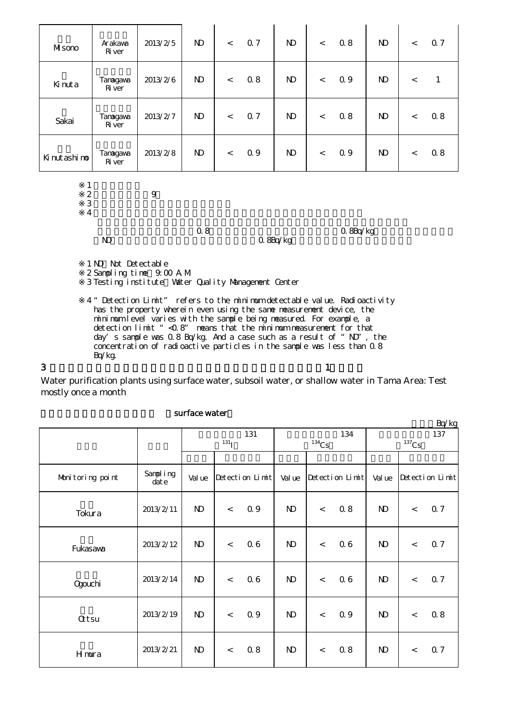| Misono      | Arakawa<br><b>R</b> iver  | 2013/2/5 | $\mathbf{N}$ | $\lt$ | 0.7 | $\mathbf{D}$ | $\,<\,$ | 0.8 | $\mathbf{D}$ | $\lt$ | 0.7 |
|-------------|---------------------------|----------|--------------|-------|-----|--------------|---------|-----|--------------|-------|-----|
| Kinuta      | Tanagawa<br><b>R</b> iver | 2013/2/6 | $\mathbf{D}$ | $\lt$ | 0.8 | $\mathbf{D}$ | $\,<\,$ | 0.9 | $\mathbf{D}$ | $\,<$ |     |
| Sakai       | Tanagawa<br><b>R</b> iver | 2013/2/7 | $\mathbf{D}$ | $\lt$ | 0.7 | $\mathbf{D}$ | $\lt$   | 0.8 | $\mathbf{D}$ | $\lt$ | 0.8 |
| Kinutashino | Tanagawa<br><b>R</b> iver | 2013/2/8 | $\mathbf{D}$ | $\lt$ | 0.9 | $\mathbf{D}$ | $\,<\,$ | 0.9 | $\mathbf{D}$ | $\lt$ | 08  |

 $1$  ND:  $\sim$  ND: ※2 採水時間:午前9時

※4

 $3 \thinspace$ 

Q 8Bq/kg

 $\begin{array}{lll} \text{O 8} & \text{O 8Bq/kg} \end{array}$  <br> O.8Bq/kg

1 ND Not Detectable ※2 Sampling time:9:00 A.M. 3 Testing institute Water Quality Management Center

※4 "Detection Limit" refers to the minimum detectable value. Radioactivity has the property wherein even using the same measurement device, the minimum level varies with the sample being measured. For example, a detection limit "<0.8" means that the minimum measurement for that day's sample was  $0.8$  Bq/kg. And a case such as a result of "ND", the concentration of radioactive particles in the sample was less than 0.8 Bq/kg.

 $3$  and  $1$ 

Water purification plants using surface water, subsoil water, or shallow water in Tama Area: Test mostly once a month

|                  |                      |                   |         |                 |              |                          |                 |              |       | Bq/kg           |
|------------------|----------------------|-------------------|---------|-----------------|--------------|--------------------------|-----------------|--------------|-------|-----------------|
|                  |                      | 131<br>$^{131}$ I |         |                 |              |                          | 134             |              |       | 137             |
|                  |                      |                   |         |                 | $134$ Cs     |                          |                 | $137$ Cs     |       |                 |
| Monitoring point | Sampling<br>$\det e$ | Val ue            |         | Detection Limit | Val ue       |                          | Detection Limit | Val ue       |       | Detection Limit |
| Tokura           | 2013/2/11            | $\mathbf{D}$      | $\,<\,$ | 0.9             | $\mathbf{D}$ | $\lt$                    | 0.8             | $\mathbf{N}$ | $\lt$ | 0.7             |
| Fukasawa         | 2013/2/12            | $\mathbf{N}$      | $\lt$   | 0.6             | $\mathbf{N}$ | $\,<$                    | 06              | $\mathbf{D}$ | $\,<$ | 0.7             |
| Qgouchi          | 2013/2/14            | $\mathbf{D}$      | $\,<\,$ | 06              | $\mathbf{D}$ | $\overline{\phantom{a}}$ | 06              | $\mathbf{D}$ | $\,<$ | 0.7             |
| <b>Qtsu</b>      | 2013/2/19            | $\mathbf{N}$      | $\,<$   | 0.9             | $\mathbf{N}$ | $\,<$                    | 0.9             | $\mathbf{D}$ | $\,<$ | 0.8             |
| Hmura            | 2013/2/21            | $\mathbf{D}$      | $\lt$   | 0.8             | $\mathbf{N}$ | $\,<$                    | 0.8             | $\mathbf{D}$ | $\,<$ | 0.7             |

#### surface water